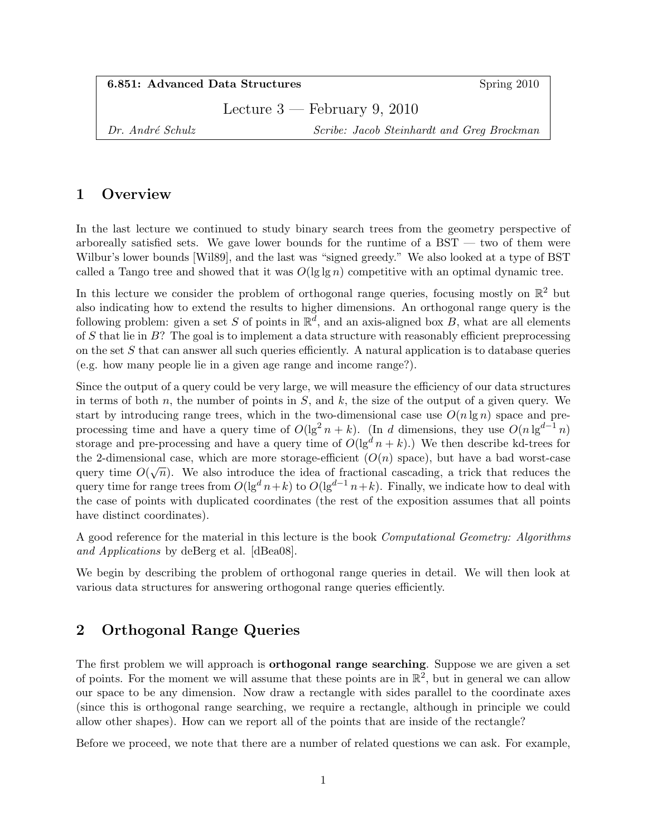| 6.851: Advanced Data Structures |  |
|---------------------------------|--|
|---------------------------------|--|

Spring 2010

Lecture 3 — February 9, 2010

Dr. André Schulz Scribe: Jacob Steinhardt and Greg Brockman

# 1 Overview

In the last lecture we continued to study binary search trees from the geometry perspective of arboreally satisfied sets. We gave lower bounds for the runtime of a  $BST -$  two of them were Wilbur's lower bounds [Wil89], and the last was "signed greedy." We also looked at a type of BST called a Tango tree and showed that it was  $O(\lg \lg n)$  competitive with an optimal dynamic tree.

In this lecture we consider the problem of orthogonal range queries, focusing mostly on  $\mathbb{R}^2$  but also indicating how to extend the results to higher dimensions. An orthogonal range query is the following problem: given a set S of points in  $\mathbb{R}^d$ , and an axis-aligned box B, what are all elements of S that lie in  $B$ ? The goal is to implement a data structure with reasonably efficient preprocessing on the set  $S$  that can answer all such queries efficiently. A natural application is to database queries (e.g. how many people lie in a given age range and income range?).

Since the output of a query could be very large, we will measure the efficiency of our data structures in terms of both n, the number of points in  $S$ , and k, the size of the output of a given query. We start by introducing range trees, which in the two-dimensional case use  $O(n \lg n)$  space and preprocessing time and have a query time of  $O(\lg^2 n + k)$ . (In d dimensions, they use  $O(n \lg^{d-1} n)$ storage and pre-processing and have a query time of  $O(\lg^d n + k)$ .) We then describe kd-trees for the 2-dimensional case, which are more storage-efficient  $(O(n)$  space), but have a bad worst-case the 2-dimensional case, which are more storage-enficient  $(O(n)$  space), but have a bad worst-case<br>query time  $O(\sqrt{n})$ . We also introduce the idea of fractional cascading, a trick that reduces the query time for range trees from  $O(\lg^d n+k)$  to  $O(\lg^{d-1} n+k)$ . Finally, we indicate how to deal with the case of points with duplicated coordinates (the rest of the exposition assumes that all points have distinct coordinates).

A good reference for the material in this lecture is the book Computational Geometry: Algorithms and Applications by deBerg et al. [dBea08].

We begin by describing the problem of orthogonal range queries in detail. We will then look at various data structures for answering orthogonal range queries efficiently.

# 2 Orthogonal Range Queries

The first problem we will approach is **orthogonal range searching**. Suppose we are given a set of points. For the moment we will assume that these points are in  $\mathbb{R}^2$ , but in general we can allow our space to be any dimension. Now draw a rectangle with sides parallel to the coordinate axes (since this is orthogonal range searching, we require a rectangle, although in principle we could allow other shapes). How can we report all of the points that are inside of the rectangle?

Before we proceed, we note that there are a number of related questions we can ask. For example,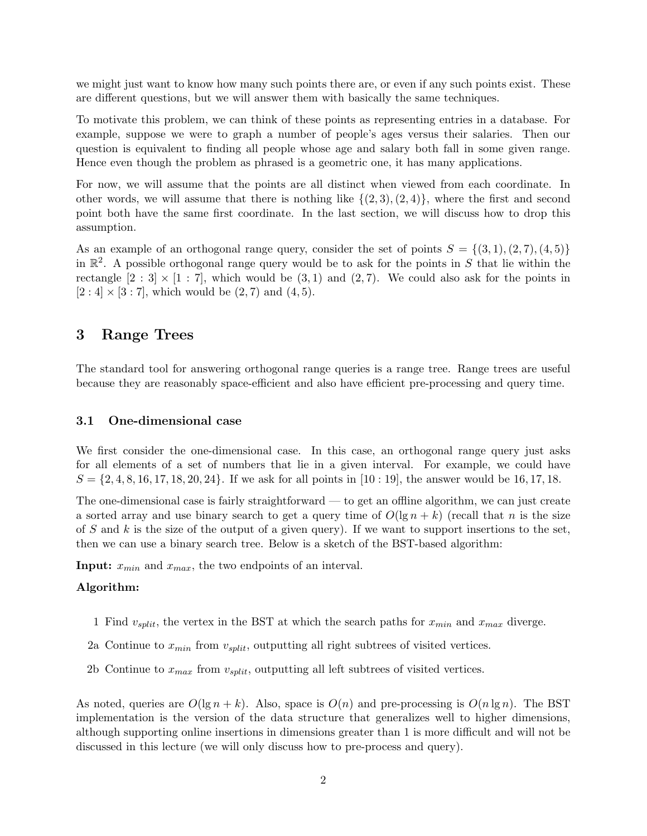we might just want to know how many such points there are, or even if any such points exist. These are different questions, but we will answer them with basically the same techniques.

To motivate this problem, we can think of these points as representing entries in a database. For example, suppose we were to graph a number of people's ages versus their salaries. Then our question is equivalent to finding all people whose age and salary both fall in some given range. Hence even though the problem as phrased is a geometric one, it has many applications.

For now, we will assume that the points are all distinct when viewed from each coordinate. In other words, we will assume that there is nothing like  $\{(2,3), (2,4)\}$ , where the first and second point both have the same first coordinate. In the last section, we will discuss how to drop this assumption.

As an example of an orthogonal range query, consider the set of points  $S = \{(3, 1), (2, 7), (4, 5)\}\$ in  $\mathbb{R}^2$ . A possible orthogonal range query would be to ask for the points in S that lie within the rectangle  $[2:3] \times [1:7]$ , which would be  $(3,1)$  and  $(2,7)$ . We could also ask for the points in  $[2:4] \times [3:7]$ , which would be  $(2,7)$  and  $(4,5)$ .

## 3 Range Trees

The standard tool for answering orthogonal range queries is a range tree. Range trees are useful because they are reasonably space-efficient and also have efficient pre-processing and query time.

### 3.1 One-dimensional case

We first consider the one-dimensional case. In this case, an orthogonal range query just asks for all elements of a set of numbers that lie in a given interval. For example, we could have  $S = \{2, 4, 8, 16, 17, 18, 20, 24\}$ . If we ask for all points in [10 : 19], the answer would be 16, 17, 18.

The one-dimensional case is fairly straightforward — to get an offline algorithm, we can just create a sorted array and use binary search to get a query time of  $O(\lg n + k)$  (recall that n is the size of S and k is the size of the output of a given query). If we want to support insertions to the set, then we can use a binary search tree. Below is a sketch of the BST-based algorithm:

**Input:**  $x_{min}$  and  $x_{max}$ , the two endpoints of an interval.

#### Algorithm:

- 1 Find  $v_{split}$ , the vertex in the BST at which the search paths for  $x_{min}$  and  $x_{max}$  diverge.
- 2a Continue to  $x_{min}$  from  $v_{split}$ , outputting all right subtrees of visited vertices.
- 2b Continue to  $x_{max}$  from  $v_{split}$ , outputting all left subtrees of visited vertices.

As noted, queries are  $O(\lg n + k)$ . Also, space is  $O(n)$  and pre-processing is  $O(n \lg n)$ . The BST implementation is the version of the data structure that generalizes well to higher dimensions, although supporting online insertions in dimensions greater than 1 is more difficult and will not be discussed in this lecture (we will only discuss how to pre-process and query).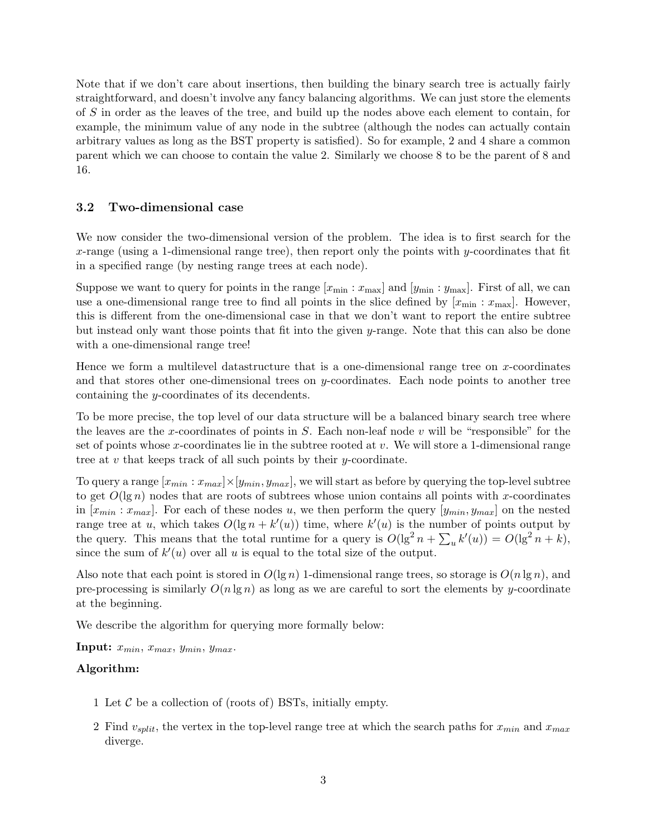Note that if we don't care about insertions, then building the binary search tree is actually fairly straightforward, and doesn't involve any fancy balancing algorithms. We can just store the elements of S in order as the leaves of the tree, and build up the nodes above each element to contain, for example, the minimum value of any node in the subtree (although the nodes can actually contain arbitrary values as long as the BST property is satisfied). So for example, 2 and 4 share a common parent which we can choose to contain the value 2. Similarly we choose 8 to be the parent of 8 and 16.

### 3.2 Two-dimensional case

We now consider the two-dimensional version of the problem. The idea is to first search for the x-range (using a 1-dimensional range tree), then report only the points with y-coordinates that fit in a specified range (by nesting range trees at each node).

Suppose we want to query for points in the range  $[x_{\min}:x_{\max}]$  and  $[y_{\min}:y_{\max}]$ . First of all, we can use a one-dimensional range tree to find all points in the slice defined by  $[x_{\text{min}} : x_{\text{max}}]$ . However, this is different from the one-dimensional case in that we don't want to report the entire subtree but instead only want those points that fit into the given y-range. Note that this can also be done with a one-dimensional range tree!

Hence we form a multilevel datastructure that is a one-dimensional range tree on x-coordinates and that stores other one-dimensional trees on y-coordinates. Each node points to another tree containing the y-coordinates of its decendents.

To be more precise, the top level of our data structure will be a balanced binary search tree where the leaves are the x-coordinates of points in  $S$ . Each non-leaf node  $v$  will be "responsible" for the set of points whose x-coordinates lie in the subtree rooted at  $v$ . We will store a 1-dimensional range tree at v that keeps track of all such points by their  $y$ -coordinate.

To query a range  $[x_{min}: x_{max}]\times[y_{min}, y_{max}]$ , we will start as before by querying the top-level subtree to get  $O(\lg n)$  nodes that are roots of subtrees whose union contains all points with x-coordinates in  $[x_{min}: x_{max}]$ . For each of these nodes u, we then perform the query  $[y_{min}, y_{max}]$  on the nested range tree at u, which takes  $O(\lg n + k'(u))$  time, where  $k'(u)$  is the number of points output by the query. This means that the total runtime for a query is  $O(\lg^2 n + \sum_u k'(u)) = O(\lg^2 n + k)$ , since the sum of  $k'(u)$  over all u is equal to the total size of the output.

Also note that each point is stored in  $O(\lg n)$  1-dimensional range trees, so storage is  $O(n \lg n)$ , and pre-processing is similarly  $O(n \lg n)$  as long as we are careful to sort the elements by y-coordinate at the beginning.

We describe the algorithm for querying more formally below:

Input:  $x_{min}$ ,  $x_{max}$ ,  $y_{min}$ ,  $y_{max}$ .

#### Algorithm:

- 1 Let  $\mathcal C$  be a collection of (roots of) BSTs, initially empty.
- 2 Find  $v_{split}$ , the vertex in the top-level range tree at which the search paths for  $x_{min}$  and  $x_{max}$ diverge.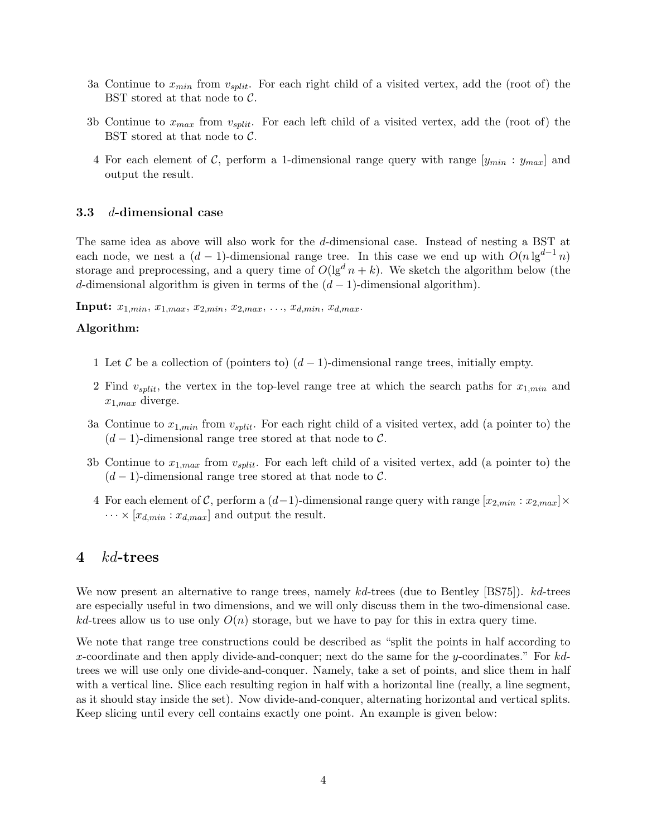- 3a Continue to  $x_{min}$  from  $v_{split}$ . For each right child of a visited vertex, add the (root of) the BST stored at that node to  $C$ .
- 3b Continue to  $x_{max}$  from  $v_{split}$ . For each left child of a visited vertex, add the (root of) the BST stored at that node to C.
- 4 For each element of C, perform a 1-dimensional range query with range  $[y_{min}: y_{max}]$  and output the result.

### 3.3 d-dimensional case

The same idea as above will also work for the d-dimensional case. Instead of nesting a BST at each node, we nest a  $(d-1)$ -dimensional range tree. In this case we end up with  $O(n \lg^{d-1} n)$ storage and preprocessing, and a query time of  $O(\lg^d n + k)$ . We sketch the algorithm below (the d-dimensional algorithm is given in terms of the  $(d-1)$ -dimensional algorithm).

**Input:**  $x_{1,min}$ ,  $x_{1,max}$ ,  $x_{2,min}$ ,  $x_{2,max}$ , ...,  $x_{d,min}$ ,  $x_{d,max}$ .

#### Algorithm:

- 1 Let C be a collection of (pointers to)  $(d-1)$ -dimensional range trees, initially empty.
- 2 Find  $v_{split}$ , the vertex in the top-level range tree at which the search paths for  $x_{1,min}$  and  $x_{1,max}$  diverge.
- 3a Continue to  $x_{1,min}$  from  $v_{split}$ . For each right child of a visited vertex, add (a pointer to) the  $(d-1)$ -dimensional range tree stored at that node to C.
- 3b Continue to  $x_{1,max}$  from  $v_{split}$ . For each left child of a visited vertex, add (a pointer to) the  $(d-1)$ -dimensional range tree stored at that node to C.
- 4 For each element of C, perform a  $(d-1)$ -dimensional range query with range  $[x_{2,min}: x_{2,max}] \times$  $\cdots \times [x_{d,min}:x_{d,max}]$  and output the result.

## 4 kd-trees

We now present an alternative to range trees, namely kd-trees (due to Bentley [BS75]). kd-trees are especially useful in two dimensions, and we will only discuss them in the two-dimensional case.  $kd$ -trees allow us to use only  $O(n)$  storage, but we have to pay for this in extra query time.

We note that range tree constructions could be described as "split the points in half according to x-coordinate and then apply divide-and-conquer; next do the same for the y-coordinates." For  $kd$ trees we will use only one divide-and-conquer. Namely, take a set of points, and slice them in half with a vertical line. Slice each resulting region in half with a horizontal line (really, a line segment, as it should stay inside the set). Now divide-and-conquer, alternating horizontal and vertical splits. Keep slicing until every cell contains exactly one point. An example is given below: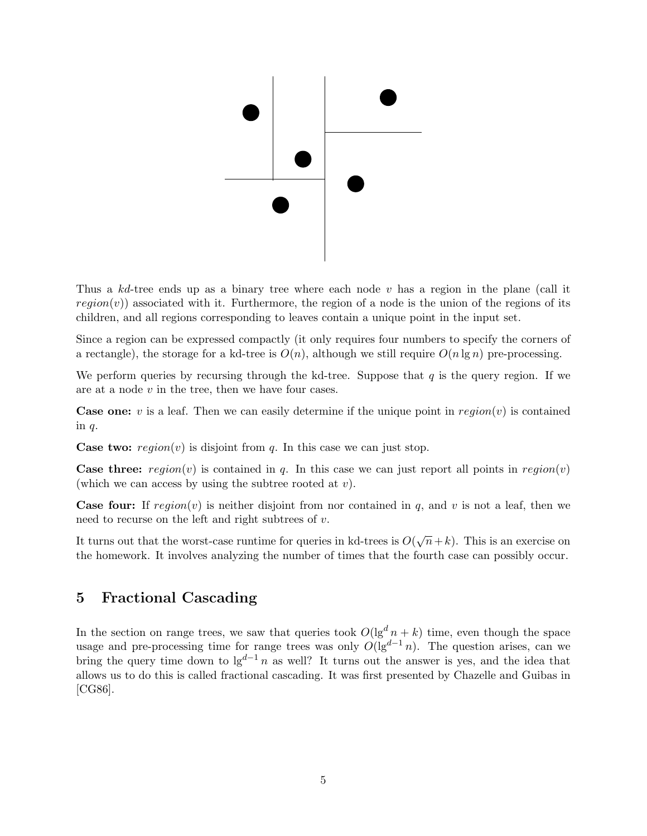

Thus a  $kd$ -tree ends up as a binary tree where each node v has a region in the plane (call it  $region(v)$  associated with it. Furthermore, the region of a node is the union of the regions of its children, and all regions corresponding to leaves contain a unique point in the input set.

Since a region can be expressed compactly (it only requires four numbers to specify the corners of a rectangle), the storage for a kd-tree is  $O(n)$ , although we still require  $O(n \lg n)$  pre-processing.

We perform queries by recursing through the kd-tree. Suppose that  $q$  is the query region. If we are at a node v in the tree, then we have four cases.

**Case one:** v is a leaf. Then we can easily determine if the unique point in  $region(v)$  is contained in  $q$ .

**Case two:** region(v) is disjoint from q. In this case we can just stop.

**Case three:**  $region(v)$  is contained in q. In this case we can just report all points in  $region(v)$ (which we can access by using the subtree rooted at  $v$ ).

**Case four:** If  $region(v)$  is neither disjoint from nor contained in q, and v is not a leaf, then we need to recurse on the left and right subtrees of  $v$ .

It turns out that the worst-case runtime for queries in kd-trees is  $O(\sqrt{n}+k)$ . This is an exercise on the homework. It involves analyzing the number of times that the fourth case can possibly occur.

# 5 Fractional Cascading

In the section on range trees, we saw that queries took  $O(\lg^d n + k)$  time, even though the space usage and pre-processing time for range trees was only  $O(\lg^{d-1} n)$ . The question arises, can we bring the query time down to  $\lg^{d-1} n$  as well? It turns out the answer is yes, and the idea that allows us to do this is called fractional cascading. It was first presented by Chazelle and Guibas in [CG86].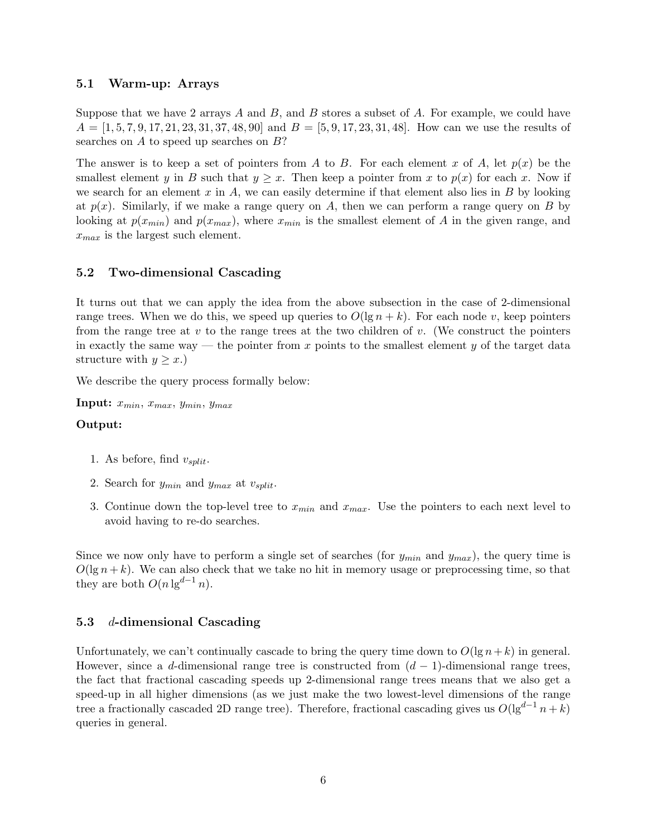## 5.1 Warm-up: Arrays

Suppose that we have 2 arrays  $A$  and  $B$ , and  $B$  stores a subset of  $A$ . For example, we could have  $A = \begin{bmatrix} 1, 5, 7, 9, 17, 21, 23, 31, 37, 48, 90 \end{bmatrix}$  and  $B = \begin{bmatrix} 5, 9, 17, 23, 31, 48 \end{bmatrix}$ . How can we use the results of searches on A to speed up searches on B?

The answer is to keep a set of pointers from A to B. For each element x of A, let  $p(x)$  be the smallest element y in B such that  $y \geq x$ . Then keep a pointer from x to  $p(x)$  for each x. Now if we search for an element x in A, we can easily determine if that element also lies in B by looking at  $p(x)$ . Similarly, if we make a range query on A, then we can perform a range query on B by looking at  $p(x_{min})$  and  $p(x_{max})$ , where  $x_{min}$  is the smallest element of A in the given range, and  $x_{max}$  is the largest such element.

## 5.2 Two-dimensional Cascading

It turns out that we can apply the idea from the above subsection in the case of 2-dimensional range trees. When we do this, we speed up queries to  $O(\lg n + k)$ . For each node v, keep pointers from the range tree at  $v$  to the range trees at the two children of  $v$ . (We construct the pointers in exactly the same way — the pointer from x points to the smallest element y of the target data structure with  $y \geq x$ .)

We describe the query process formally below:

Input:  $x_{min}$ ,  $x_{max}$ ,  $y_{min}$ ,  $y_{max}$ 

## Output:

- 1. As before, find  $v_{split}$ .
- 2. Search for  $y_{min}$  and  $y_{max}$  at  $v_{split}$ .
- 3. Continue down the top-level tree to  $x_{min}$  and  $x_{max}$ . Use the pointers to each next level to avoid having to re-do searches.

Since we now only have to perform a single set of searches (for  $y_{min}$  and  $y_{max}$ ), the query time is  $O(\lg n + k)$ . We can also check that we take no hit in memory usage or preprocessing time, so that they are both  $O(n \lg^{d-1} n)$ .

## 5.3 d-dimensional Cascading

Unfortunately, we can't continually cascade to bring the query time down to  $O(\lg n + k)$  in general. However, since a d-dimensional range tree is constructed from  $(d-1)$ -dimensional range trees, the fact that fractional cascading speeds up 2-dimensional range trees means that we also get a speed-up in all higher dimensions (as we just make the two lowest-level dimensions of the range tree a fractionally cascaded 2D range tree). Therefore, fractional cascading gives us  $O(\lg^{d-1} n + k)$ queries in general.